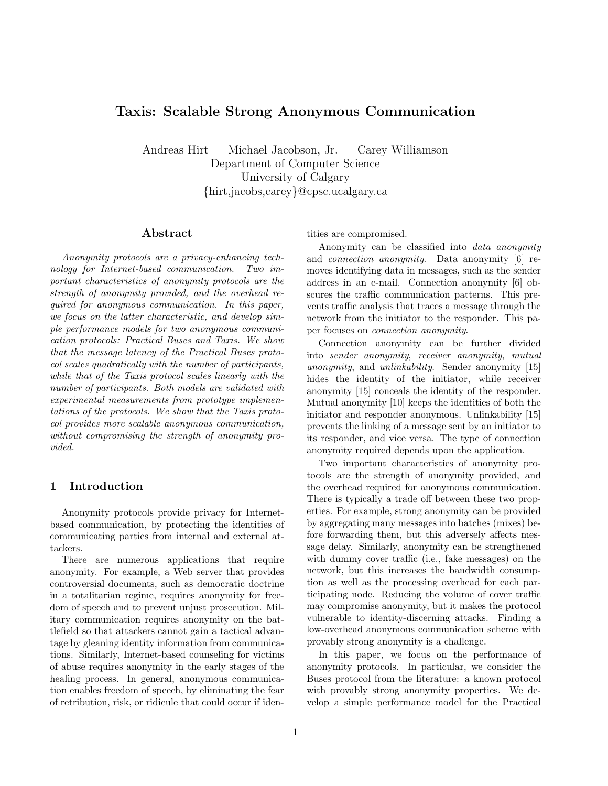# Taxis: Scalable Strong Anonymous Communication

Andreas Hirt Michael Jacobson, Jr. Carey Williamson Department of Computer Science University of Calgary {hirt,jacobs,carey}@cpsc.ucalgary.ca

## Abstract

Anonymity protocols are a privacy-enhancing technology for Internet-based communication. Two important characteristics of anonymity protocols are the strength of anonymity provided, and the overhead required for anonymous communication. In this paper, we focus on the latter characteristic, and develop simple performance models for two anonymous communication protocols: Practical Buses and Taxis. We show that the message latency of the Practical Buses protocol scales quadratically with the number of participants, while that of the Taxis protocol scales linearly with the number of participants. Both models are validated with experimental measurements from prototype implementations of the protocols. We show that the Taxis protocol provides more scalable anonymous communication, without compromising the strength of anonymity provided.

# 1 Introduction

Anonymity protocols provide privacy for Internetbased communication, by protecting the identities of communicating parties from internal and external attackers.

There are numerous applications that require anonymity. For example, a Web server that provides controversial documents, such as democratic doctrine in a totalitarian regime, requires anonymity for freedom of speech and to prevent unjust prosecution. Military communication requires anonymity on the battlefield so that attackers cannot gain a tactical advantage by gleaning identity information from communications. Similarly, Internet-based counseling for victims of abuse requires anonymity in the early stages of the healing process. In general, anonymous communication enables freedom of speech, by eliminating the fear of retribution, risk, or ridicule that could occur if identities are compromised.

Anonymity can be classified into data anonymity and connection anonymity. Data anonymity [6] removes identifying data in messages, such as the sender address in an e-mail. Connection anonymity [6] obscures the traffic communication patterns. This prevents traffic analysis that traces a message through the network from the initiator to the responder. This paper focuses on connection anonymity.

Connection anonymity can be further divided into sender anonymity, receiver anonymity, mutual anonymity, and unlinkability. Sender anonymity [15] hides the identity of the initiator, while receiver anonymity [15] conceals the identity of the responder. Mutual anonymity [10] keeps the identities of both the initiator and responder anonymous. Unlinkability [15] prevents the linking of a message sent by an initiator to its responder, and vice versa. The type of connection anonymity required depends upon the application.

Two important characteristics of anonymity protocols are the strength of anonymity provided, and the overhead required for anonymous communication. There is typically a trade off between these two properties. For example, strong anonymity can be provided by aggregating many messages into batches (mixes) before forwarding them, but this adversely affects message delay. Similarly, anonymity can be strengthened with dummy cover traffic (i.e., fake messages) on the network, but this increases the bandwidth consumption as well as the processing overhead for each participating node. Reducing the volume of cover traffic may compromise anonymity, but it makes the protocol vulnerable to identity-discerning attacks. Finding a low-overhead anonymous communication scheme with provably strong anonymity is a challenge.

In this paper, we focus on the performance of anonymity protocols. In particular, we consider the Buses protocol from the literature: a known protocol with provably strong anonymity properties. We develop a simple performance model for the Practical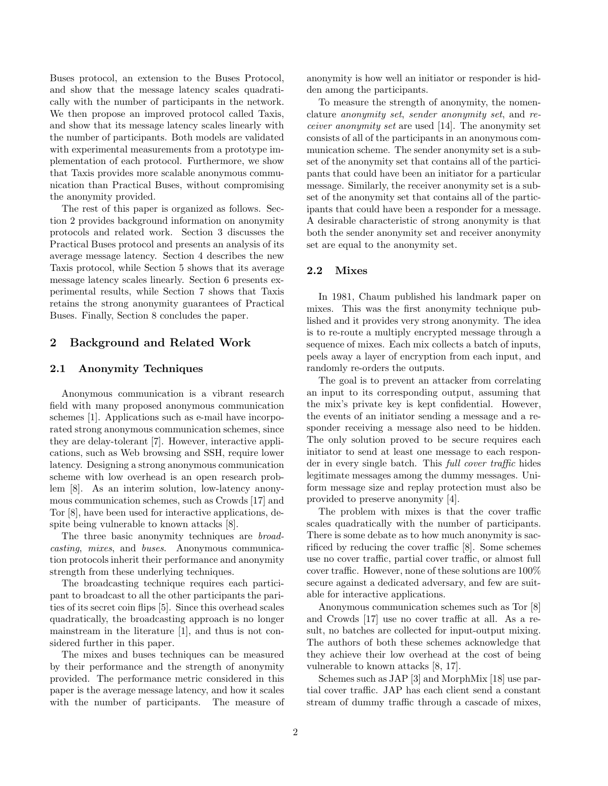Buses protocol, an extension to the Buses Protocol, and show that the message latency scales quadratically with the number of participants in the network. We then propose an improved protocol called Taxis, and show that its message latency scales linearly with the number of participants. Both models are validated with experimental measurements from a prototype implementation of each protocol. Furthermore, we show that Taxis provides more scalable anonymous communication than Practical Buses, without compromising the anonymity provided.

The rest of this paper is organized as follows. Section 2 provides background information on anonymity protocols and related work. Section 3 discusses the Practical Buses protocol and presents an analysis of its average message latency. Section 4 describes the new Taxis protocol, while Section 5 shows that its average message latency scales linearly. Section 6 presents experimental results, while Section 7 shows that Taxis retains the strong anonymity guarantees of Practical Buses. Finally, Section 8 concludes the paper.

# 2 Background and Related Work

### 2.1 Anonymity Techniques

Anonymous communication is a vibrant research field with many proposed anonymous communication schemes [1]. Applications such as e-mail have incorporated strong anonymous communication schemes, since they are delay-tolerant [7]. However, interactive applications, such as Web browsing and SSH, require lower latency. Designing a strong anonymous communication scheme with low overhead is an open research problem [8]. As an interim solution, low-latency anonymous communication schemes, such as Crowds [17] and Tor [8], have been used for interactive applications, despite being vulnerable to known attacks [8].

The three basic anonymity techniques are *broad*casting, mixes, and buses. Anonymous communication protocols inherit their performance and anonymity strength from these underlying techniques.

The broadcasting technique requires each participant to broadcast to all the other participants the parities of its secret coin flips [5]. Since this overhead scales quadratically, the broadcasting approach is no longer mainstream in the literature [1], and thus is not considered further in this paper.

The mixes and buses techniques can be measured by their performance and the strength of anonymity provided. The performance metric considered in this paper is the average message latency, and how it scales with the number of participants. The measure of anonymity is how well an initiator or responder is hidden among the participants.

To measure the strength of anonymity, the nomenclature anonymity set, sender anonymity set, and receiver anonymity set are used [14]. The anonymity set consists of all of the participants in an anonymous communication scheme. The sender anonymity set is a subset of the anonymity set that contains all of the participants that could have been an initiator for a particular message. Similarly, the receiver anonymity set is a subset of the anonymity set that contains all of the participants that could have been a responder for a message. A desirable characteristic of strong anonymity is that both the sender anonymity set and receiver anonymity set are equal to the anonymity set.

### 2.2 Mixes

In 1981, Chaum published his landmark paper on mixes. This was the first anonymity technique published and it provides very strong anonymity. The idea is to re-route a multiply encrypted message through a sequence of mixes. Each mix collects a batch of inputs, peels away a layer of encryption from each input, and randomly re-orders the outputs.

The goal is to prevent an attacker from correlating an input to its corresponding output, assuming that the mix's private key is kept confidential. However, the events of an initiator sending a message and a responder receiving a message also need to be hidden. The only solution proved to be secure requires each initiator to send at least one message to each responder in every single batch. This full cover traffic hides legitimate messages among the dummy messages. Uniform message size and replay protection must also be provided to preserve anonymity [4].

The problem with mixes is that the cover traffic scales quadratically with the number of participants. There is some debate as to how much anonymity is sacrificed by reducing the cover traffic [8]. Some schemes use no cover traffic, partial cover traffic, or almost full cover traffic. However, none of these solutions are 100% secure against a dedicated adversary, and few are suitable for interactive applications.

Anonymous communication schemes such as Tor [8] and Crowds [17] use no cover traffic at all. As a result, no batches are collected for input-output mixing. The authors of both these schemes acknowledge that they achieve their low overhead at the cost of being vulnerable to known attacks [8, 17].

Schemes such as JAP [3] and MorphMix [18] use partial cover traffic. JAP has each client send a constant stream of dummy traffic through a cascade of mixes,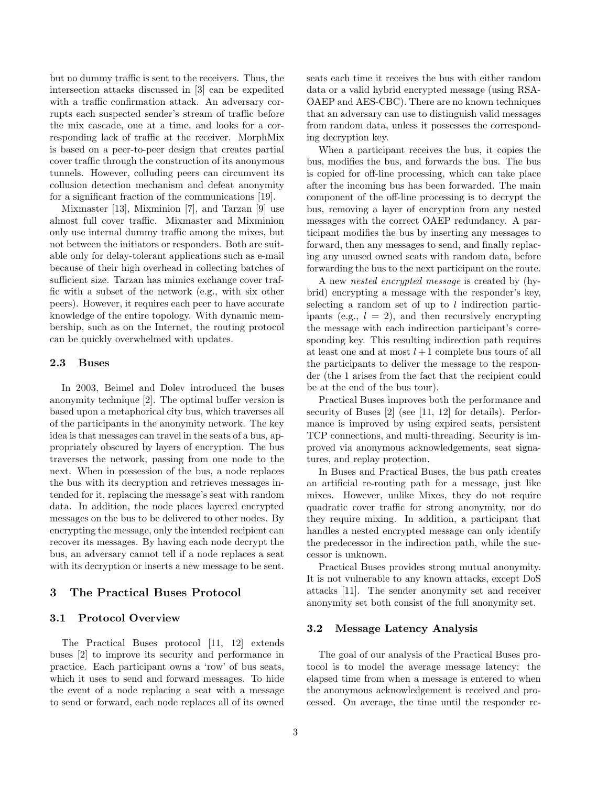but no dummy traffic is sent to the receivers. Thus, the intersection attacks discussed in [3] can be expedited with a traffic confirmation attack. An adversary corrupts each suspected sender's stream of traffic before the mix cascade, one at a time, and looks for a corresponding lack of traffic at the receiver. MorphMix is based on a peer-to-peer design that creates partial cover traffic through the construction of its anonymous tunnels. However, colluding peers can circumvent its collusion detection mechanism and defeat anonymity for a significant fraction of the communications [19].

Mixmaster [13], Mixminion [7], and Tarzan [9] use almost full cover traffic. Mixmaster and Mixminion only use internal dummy traffic among the mixes, but not between the initiators or responders. Both are suitable only for delay-tolerant applications such as e-mail because of their high overhead in collecting batches of sufficient size. Tarzan has mimics exchange cover traffic with a subset of the network (e.g., with six other peers). However, it requires each peer to have accurate knowledge of the entire topology. With dynamic membership, such as on the Internet, the routing protocol can be quickly overwhelmed with updates.

#### 2.3 Buses

In 2003, Beimel and Dolev introduced the buses anonymity technique [2]. The optimal buffer version is based upon a metaphorical city bus, which traverses all of the participants in the anonymity network. The key idea is that messages can travel in the seats of a bus, appropriately obscured by layers of encryption. The bus traverses the network, passing from one node to the next. When in possession of the bus, a node replaces the bus with its decryption and retrieves messages intended for it, replacing the message's seat with random data. In addition, the node places layered encrypted messages on the bus to be delivered to other nodes. By encrypting the message, only the intended recipient can recover its messages. By having each node decrypt the bus, an adversary cannot tell if a node replaces a seat with its decryption or inserts a new message to be sent.

# 3 The Practical Buses Protocol

### 3.1 Protocol Overview

The Practical Buses protocol [11, 12] extends buses [2] to improve its security and performance in practice. Each participant owns a 'row' of bus seats, which it uses to send and forward messages. To hide the event of a node replacing a seat with a message to send or forward, each node replaces all of its owned seats each time it receives the bus with either random data or a valid hybrid encrypted message (using RSA-OAEP and AES-CBC). There are no known techniques that an adversary can use to distinguish valid messages from random data, unless it possesses the corresponding decryption key.

When a participant receives the bus, it copies the bus, modifies the bus, and forwards the bus. The bus is copied for off-line processing, which can take place after the incoming bus has been forwarded. The main component of the off-line processing is to decrypt the bus, removing a layer of encryption from any nested messages with the correct OAEP redundancy. A participant modifies the bus by inserting any messages to forward, then any messages to send, and finally replacing any unused owned seats with random data, before forwarding the bus to the next participant on the route.

A new nested encrypted message is created by (hybrid) encrypting a message with the responder's key, selecting a random set of up to  $l$  indirection participants (e.g.,  $l = 2$ ), and then recursively encrypting the message with each indirection participant's corresponding key. This resulting indirection path requires at least one and at most  $l + 1$  complete bus tours of all the participants to deliver the message to the responder (the 1 arises from the fact that the recipient could be at the end of the bus tour).

Practical Buses improves both the performance and security of Buses [2] (see [11, 12] for details). Performance is improved by using expired seats, persistent TCP connections, and multi-threading. Security is improved via anonymous acknowledgements, seat signatures, and replay protection.

In Buses and Practical Buses, the bus path creates an artificial re-routing path for a message, just like mixes. However, unlike Mixes, they do not require quadratic cover traffic for strong anonymity, nor do they require mixing. In addition, a participant that handles a nested encrypted message can only identify the predecessor in the indirection path, while the successor is unknown.

Practical Buses provides strong mutual anonymity. It is not vulnerable to any known attacks, except DoS attacks [11]. The sender anonymity set and receiver anonymity set both consist of the full anonymity set.

### 3.2 Message Latency Analysis

The goal of our analysis of the Practical Buses protocol is to model the average message latency: the elapsed time from when a message is entered to when the anonymous acknowledgement is received and processed. On average, the time until the responder re-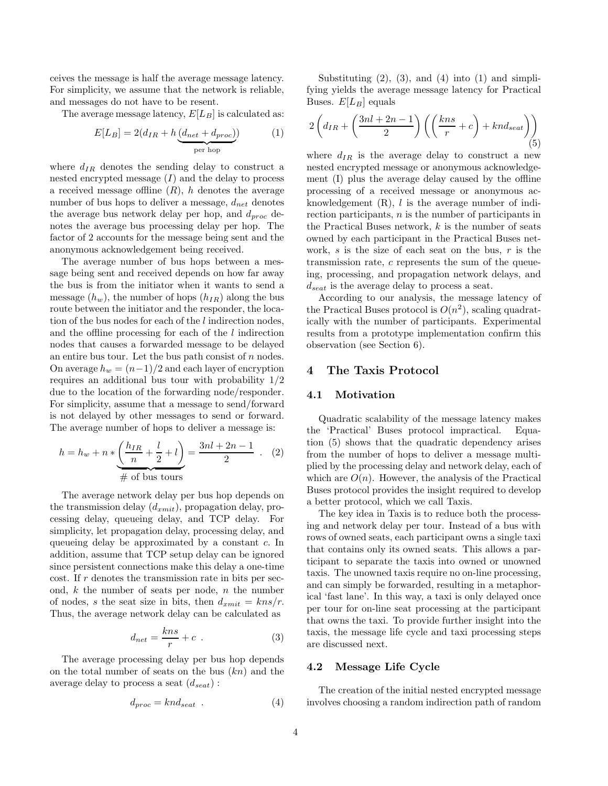ceives the message is half the average message latency. For simplicity, we assume that the network is reliable, and messages do not have to be resent.

The average message latency,  $E[L_B]$  is calculated as:

$$
E[L_B] = 2(d_{IR} + h \underbrace{(d_{net} + d_{proc})}_{\text{per hop}})
$$
 (1)

where  $d_{IR}$  denotes the sending delay to construct a nested encrypted message  $(I)$  and the delay to process a received message offline  $(R)$ , h denotes the average number of bus hops to deliver a message,  $d_{net}$  denotes the average bus network delay per hop, and  $d_{proc}$  denotes the average bus processing delay per hop. The factor of 2 accounts for the message being sent and the anonymous acknowledgement being received.

The average number of bus hops between a message being sent and received depends on how far away the bus is from the initiator when it wants to send a message  $(h_w)$ , the number of hops  $(h_{IR})$  along the bus route between the initiator and the responder, the location of the bus nodes for each of the l indirection nodes, and the offline processing for each of the l indirection nodes that causes a forwarded message to be delayed an entire bus tour. Let the bus path consist of  $n$  nodes. On average  $h_w = (n-1)/2$  and each layer of encryption requires an additional bus tour with probability 1/2 due to the location of the forwarding node/responder. For simplicity, assume that a message to send/forward is not delayed by other messages to send or forward. The average number of hops to deliver a message is:

$$
h = h_w + n * \underbrace{\left(\frac{h_{IR}}{n} + \frac{l}{2} + l\right)}_{\text{# of bus tours}} = \frac{3nl + 2n - 1}{2} \quad . \quad (2)
$$

The average network delay per bus hop depends on the transmission delay  $(d_{xmit})$ , propagation delay, processing delay, queueing delay, and TCP delay. For simplicity, let propagation delay, processing delay, and queueing delay be approximated by a constant c. In addition, assume that TCP setup delay can be ignored since persistent connections make this delay a one-time cost. If  $r$  denotes the transmission rate in bits per second,  $k$  the number of seats per node,  $n$  the number of nodes, s the seat size in bits, then  $d_{xmit} = kns/r$ . Thus, the average network delay can be calculated as

$$
d_{net} = \frac{kns}{r} + c \tag{3}
$$

The average processing delay per bus hop depends on the total number of seats on the bus  $(kn)$  and the average delay to process a seat  $(d_{seat})$ :

$$
d_{proc} = knd_{seat} . \t\t(4)
$$

Substituting  $(2)$ ,  $(3)$ , and  $(4)$  into  $(1)$  and simplifying yields the average message latency for Practical Buses.  $E[L_B]$  equals

$$
2\left(d_{IR} + \left(\frac{3nl + 2n - 1}{2}\right)\left(\left(\frac{kns}{r} + c\right) + knd_{seat}\right)\right)
$$
\n(5)

where  $d_{IR}$  is the average delay to construct a new nested encrypted message or anonymous acknowledgement (I) plus the average delay caused by the offline processing of a received message or anonymous acknowledgement  $(R)$ , l is the average number of indirection participants,  $n$  is the number of participants in the Practical Buses network,  $k$  is the number of seats owned by each participant in the Practical Buses network,  $s$  is the size of each seat on the bus,  $r$  is the transmission rate, c represents the sum of the queueing, processing, and propagation network delays, and  $d_{seat}$  is the average delay to process a seat.

According to our analysis, the message latency of the Practical Buses protocol is  $O(n^2)$ , scaling quadratically with the number of participants. Experimental results from a prototype implementation confirm this observation (see Section 6).

# 4 The Taxis Protocol

# 4.1 Motivation

Quadratic scalability of the message latency makes the 'Practical' Buses protocol impractical. Equation (5) shows that the quadratic dependency arises from the number of hops to deliver a message multiplied by the processing delay and network delay, each of which are  $O(n)$ . However, the analysis of the Practical Buses protocol provides the insight required to develop a better protocol, which we call Taxis.

The key idea in Taxis is to reduce both the processing and network delay per tour. Instead of a bus with rows of owned seats, each participant owns a single taxi that contains only its owned seats. This allows a participant to separate the taxis into owned or unowned taxis. The unowned taxis require no on-line processing, and can simply be forwarded, resulting in a metaphorical 'fast lane'. In this way, a taxi is only delayed once per tour for on-line seat processing at the participant that owns the taxi. To provide further insight into the taxis, the message life cycle and taxi processing steps are discussed next.

### 4.2 Message Life Cycle

The creation of the initial nested encrypted message involves choosing a random indirection path of random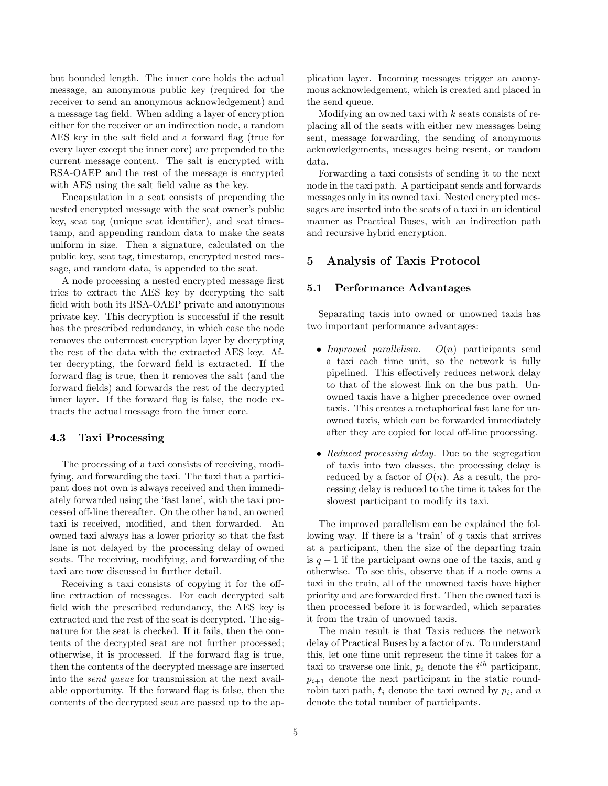but bounded length. The inner core holds the actual message, an anonymous public key (required for the receiver to send an anonymous acknowledgement) and a message tag field. When adding a layer of encryption either for the receiver or an indirection node, a random AES key in the salt field and a forward flag (true for every layer except the inner core) are prepended to the current message content. The salt is encrypted with RSA-OAEP and the rest of the message is encrypted with AES using the salt field value as the key.

Encapsulation in a seat consists of prepending the nested encrypted message with the seat owner's public key, seat tag (unique seat identifier), and seat timestamp, and appending random data to make the seats uniform in size. Then a signature, calculated on the public key, seat tag, timestamp, encrypted nested message, and random data, is appended to the seat.

A node processing a nested encrypted message first tries to extract the AES key by decrypting the salt field with both its RSA-OAEP private and anonymous private key. This decryption is successful if the result has the prescribed redundancy, in which case the node removes the outermost encryption layer by decrypting the rest of the data with the extracted AES key. After decrypting, the forward field is extracted. If the forward flag is true, then it removes the salt (and the forward fields) and forwards the rest of the decrypted inner layer. If the forward flag is false, the node extracts the actual message from the inner core.

#### 4.3 Taxi Processing

The processing of a taxi consists of receiving, modifying, and forwarding the taxi. The taxi that a participant does not own is always received and then immediately forwarded using the 'fast lane', with the taxi processed off-line thereafter. On the other hand, an owned taxi is received, modified, and then forwarded. An owned taxi always has a lower priority so that the fast lane is not delayed by the processing delay of owned seats. The receiving, modifying, and forwarding of the taxi are now discussed in further detail.

Receiving a taxi consists of copying it for the offline extraction of messages. For each decrypted salt field with the prescribed redundancy, the AES key is extracted and the rest of the seat is decrypted. The signature for the seat is checked. If it fails, then the contents of the decrypted seat are not further processed; otherwise, it is processed. If the forward flag is true, then the contents of the decrypted message are inserted into the send queue for transmission at the next available opportunity. If the forward flag is false, then the contents of the decrypted seat are passed up to the application layer. Incoming messages trigger an anonymous acknowledgement, which is created and placed in the send queue.

Modifying an owned taxi with  $k$  seats consists of replacing all of the seats with either new messages being sent, message forwarding, the sending of anonymous acknowledgements, messages being resent, or random data.

Forwarding a taxi consists of sending it to the next node in the taxi path. A participant sends and forwards messages only in its owned taxi. Nested encrypted messages are inserted into the seats of a taxi in an identical manner as Practical Buses, with an indirection path and recursive hybrid encryption.

# 5 Analysis of Taxis Protocol

# 5.1 Performance Advantages

Separating taxis into owned or unowned taxis has two important performance advantages:

- Improved parallelism.  $O(n)$  participants send a taxi each time unit, so the network is fully pipelined. This effectively reduces network delay to that of the slowest link on the bus path. Unowned taxis have a higher precedence over owned taxis. This creates a metaphorical fast lane for unowned taxis, which can be forwarded immediately after they are copied for local off-line processing.
- Reduced processing delay. Due to the segregation of taxis into two classes, the processing delay is reduced by a factor of  $O(n)$ . As a result, the processing delay is reduced to the time it takes for the slowest participant to modify its taxi.

The improved parallelism can be explained the following way. If there is a 'train' of  $q$  taxis that arrives at a participant, then the size of the departing train is  $q-1$  if the participant owns one of the taxis, and q otherwise. To see this, observe that if a node owns a taxi in the train, all of the unowned taxis have higher priority and are forwarded first. Then the owned taxi is then processed before it is forwarded, which separates it from the train of unowned taxis.

The main result is that Taxis reduces the network delay of Practical Buses by a factor of  $n$ . To understand this, let one time unit represent the time it takes for a taxi to traverse one link,  $p_i$  denote the  $i^{th}$  participant,  $p_{i+1}$  denote the next participant in the static roundrobin taxi path,  $t_i$  denote the taxi owned by  $p_i$ , and n denote the total number of participants.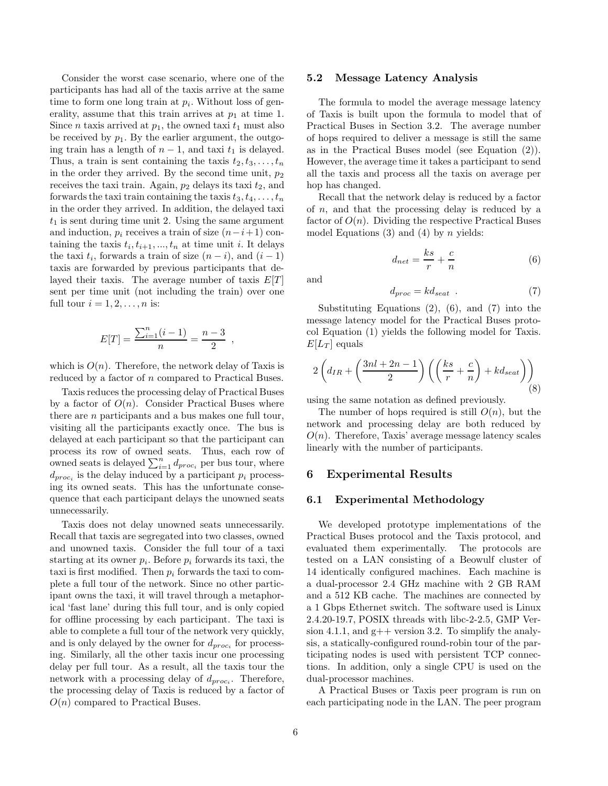Consider the worst case scenario, where one of the participants has had all of the taxis arrive at the same time to form one long train at  $p_i$ . Without loss of generality, assume that this train arrives at  $p_1$  at time 1. Since *n* taxis arrived at  $p_1$ , the owned taxi  $t_1$  must also be received by  $p_1$ . By the earlier argument, the outgoing train has a length of  $n-1$ , and taxi  $t_1$  is delayed. Thus, a train is sent containing the taxis  $t_2, t_3, \ldots, t_n$ in the order they arrived. By the second time unit,  $p_2$ receives the taxi train. Again,  $p_2$  delays its taxi  $t_2$ , and forwards the taxi train containing the taxis  $t_3, t_4, \ldots, t_n$ in the order they arrived. In addition, the delayed taxi  $t_1$  is sent during time unit 2. Using the same argument and induction,  $p_i$  receives a train of size  $(n-i+1)$  containing the taxis  $t_i, t_{i+1}, ..., t_n$  at time unit i. It delays the taxi  $t_i$ , forwards a train of size  $(n-i)$ , and  $(i-1)$ taxis are forwarded by previous participants that delayed their taxis. The average number of taxis  $E[T]$ sent per time unit (not including the train) over one full tour  $i = 1, 2, \ldots, n$  is:

$$
E[T] = \frac{\sum_{i=1}^{n} (i-1)}{n} = \frac{n-3}{2} ,
$$

which is  $O(n)$ . Therefore, the network delay of Taxis is reduced by a factor of n compared to Practical Buses.

Taxis reduces the processing delay of Practical Buses by a factor of  $O(n)$ . Consider Practical Buses where there are n participants and a bus makes one full tour, visiting all the participants exactly once. The bus is delayed at each participant so that the participant can process its row of owned seats. Thus, each row of owned seats is delayed  $\sum_{i=1}^{n} d_{proc_i}$  per bus tour, where  $d_{proc_i}$  is the delay induced by a participant  $p_i$  processing its owned seats. This has the unfortunate consequence that each participant delays the unowned seats unnecessarily.

Taxis does not delay unowned seats unnecessarily. Recall that taxis are segregated into two classes, owned and unowned taxis. Consider the full tour of a taxi starting at its owner  $p_i$ . Before  $p_i$  forwards its taxi, the taxi is first modified. Then  $p_i$  forwards the taxi to complete a full tour of the network. Since no other participant owns the taxi, it will travel through a metaphorical 'fast lane' during this full tour, and is only copied for offline processing by each participant. The taxi is able to complete a full tour of the network very quickly, and is only delayed by the owner for  $d_{proc_i}$  for processing. Similarly, all the other taxis incur one processing delay per full tour. As a result, all the taxis tour the network with a processing delay of  $d_{proc_i}$ . Therefore, the processing delay of Taxis is reduced by a factor of  $O(n)$  compared to Practical Buses.

#### 5.2 Message Latency Analysis

The formula to model the average message latency of Taxis is built upon the formula to model that of Practical Buses in Section 3.2. The average number of hops required to deliver a message is still the same as in the Practical Buses model (see Equation (2)). However, the average time it takes a participant to send all the taxis and process all the taxis on average per hop has changed.

Recall that the network delay is reduced by a factor of  $n$ , and that the processing delay is reduced by a factor of  $O(n)$ . Dividing the respective Practical Buses model Equations (3) and (4) by *n* yields:

$$
d_{net} = \frac{ks}{r} + \frac{c}{n} \tag{6}
$$

and

$$
d_{proc} = kd_{seat} \t . \t (7)
$$

Substituting Equations  $(2)$ ,  $(6)$ , and  $(7)$  into the message latency model for the Practical Buses protocol Equation (1) yields the following model for Taxis.  $E[L_T]$  equals

$$
2\left(d_{IR} + \left(\frac{3nl + 2n - 1}{2}\right)\left(\left(\frac{ks}{r} + \frac{c}{n}\right) + kd_{seat}\right)\right)
$$
(8)

using the same notation as defined previously.

The number of hops required is still  $O(n)$ , but the network and processing delay are both reduced by  $O(n)$ . Therefore, Taxis' average message latency scales linearly with the number of participants.

# 6 Experimental Results

#### 6.1 Experimental Methodology

We developed prototype implementations of the Practical Buses protocol and the Taxis protocol, and evaluated them experimentally. The protocols are tested on a LAN consisting of a Beowulf cluster of 14 identically configured machines. Each machine is a dual-processor 2.4 GHz machine with 2 GB RAM and a 512 KB cache. The machines are connected by a 1 Gbps Ethernet switch. The software used is Linux 2.4.20-19.7, POSIX threads with libc-2-2.5, GMP Version 4.1.1, and  $g++$  version 3.2. To simplify the analysis, a statically-configured round-robin tour of the participating nodes is used with persistent TCP connections. In addition, only a single CPU is used on the dual-processor machines.

A Practical Buses or Taxis peer program is run on each participating node in the LAN. The peer program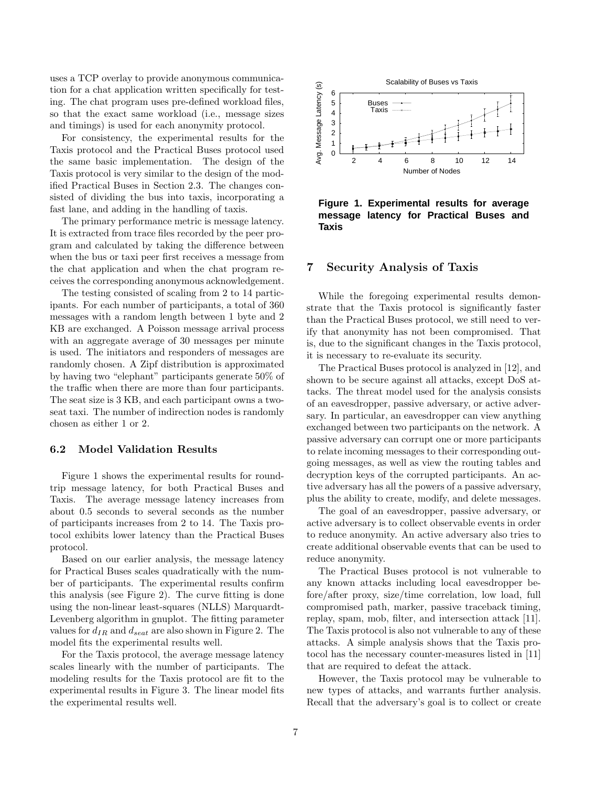uses a TCP overlay to provide anonymous communication for a chat application written specifically for testing. The chat program uses pre-defined workload files, so that the exact same workload (i.e., message sizes and timings) is used for each anonymity protocol.

For consistency, the experimental results for the Taxis protocol and the Practical Buses protocol used the same basic implementation. The design of the Taxis protocol is very similar to the design of the modified Practical Buses in Section 2.3. The changes consisted of dividing the bus into taxis, incorporating a fast lane, and adding in the handling of taxis.

The primary performance metric is message latency. It is extracted from trace files recorded by the peer program and calculated by taking the difference between when the bus or taxi peer first receives a message from the chat application and when the chat program receives the corresponding anonymous acknowledgement.

The testing consisted of scaling from 2 to 14 participants. For each number of participants, a total of 360 messages with a random length between 1 byte and 2 KB are exchanged. A Poisson message arrival process with an aggregate average of 30 messages per minute is used. The initiators and responders of messages are randomly chosen. A Zipf distribution is approximated by having two "elephant" participants generate 50% of the traffic when there are more than four participants. The seat size is 3 KB, and each participant owns a twoseat taxi. The number of indirection nodes is randomly chosen as either 1 or 2.

### 6.2 Model Validation Results

Figure 1 shows the experimental results for roundtrip message latency, for both Practical Buses and Taxis. The average message latency increases from about 0.5 seconds to several seconds as the number of participants increases from 2 to 14. The Taxis protocol exhibits lower latency than the Practical Buses protocol.

Based on our earlier analysis, the message latency for Practical Buses scales quadratically with the number of participants. The experimental results confirm this analysis (see Figure 2). The curve fitting is done using the non-linear least-squares (NLLS) Marquardt-Levenberg algorithm in gnuplot. The fitting parameter values for  $d_{IR}$  and  $d_{seat}$  are also shown in Figure 2. The model fits the experimental results well.

For the Taxis protocol, the average message latency scales linearly with the number of participants. The modeling results for the Taxis protocol are fit to the experimental results in Figure 3. The linear model fits the experimental results well.



**Figure 1. Experimental results for average message latency for Practical Buses and Taxis**

# 7 Security Analysis of Taxis

While the foregoing experimental results demonstrate that the Taxis protocol is significantly faster than the Practical Buses protocol, we still need to verify that anonymity has not been compromised. That is, due to the significant changes in the Taxis protocol, it is necessary to re-evaluate its security.

The Practical Buses protocol is analyzed in [12], and shown to be secure against all attacks, except DoS attacks. The threat model used for the analysis consists of an eavesdropper, passive adversary, or active adversary. In particular, an eavesdropper can view anything exchanged between two participants on the network. A passive adversary can corrupt one or more participants to relate incoming messages to their corresponding outgoing messages, as well as view the routing tables and decryption keys of the corrupted participants. An active adversary has all the powers of a passive adversary, plus the ability to create, modify, and delete messages.

The goal of an eavesdropper, passive adversary, or active adversary is to collect observable events in order to reduce anonymity. An active adversary also tries to create additional observable events that can be used to reduce anonymity.

The Practical Buses protocol is not vulnerable to any known attacks including local eavesdropper before/after proxy, size/time correlation, low load, full compromised path, marker, passive traceback timing, replay, spam, mob, filter, and intersection attack [11]. The Taxis protocol is also not vulnerable to any of these attacks. A simple analysis shows that the Taxis protocol has the necessary counter-measures listed in [11] that are required to defeat the attack.

However, the Taxis protocol may be vulnerable to new types of attacks, and warrants further analysis. Recall that the adversary's goal is to collect or create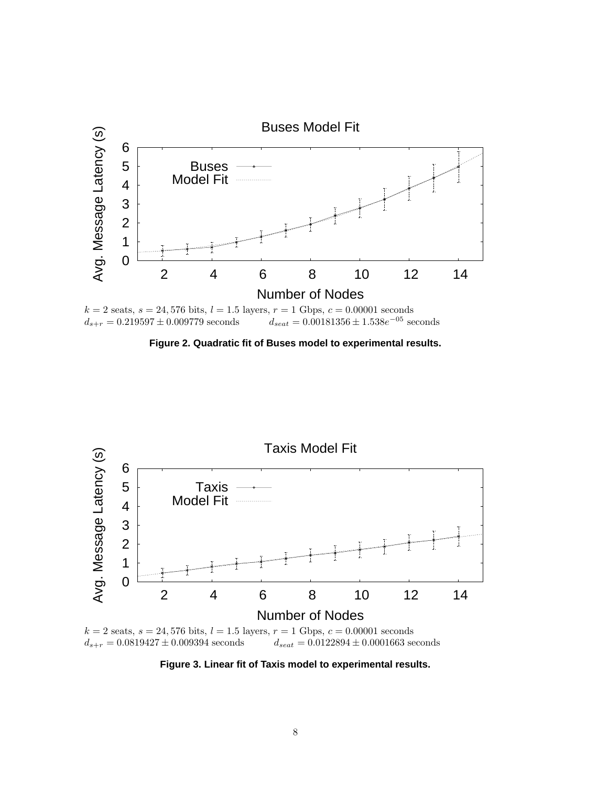

**Figure 2. Quadratic fit of Buses model to experimental results.**



 $d_{s+r} = 0.0819427 \pm 0.009394$  seconds  $d_{seat} = 0.0122894 \pm 0.0001663$  seconds

**Figure 3. Linear fit of Taxis model to experimental results.**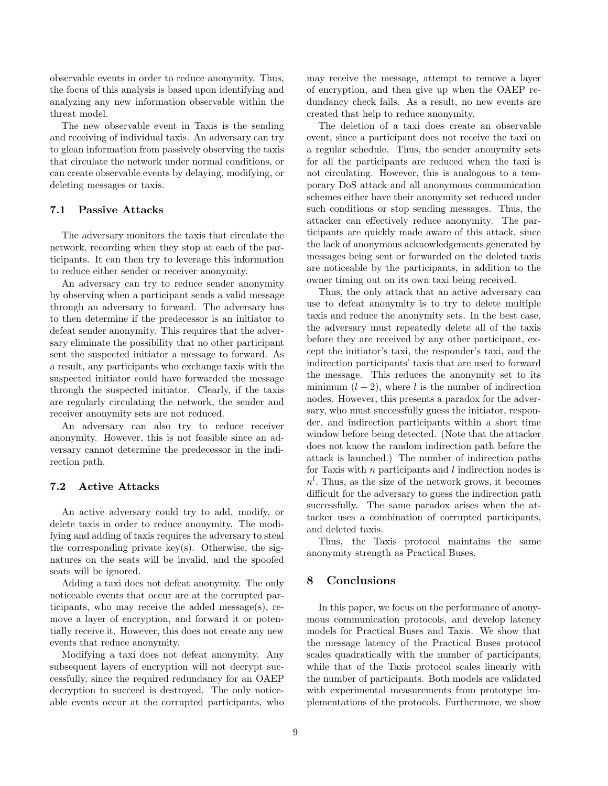observable events in order to reduce anonymity. Thus, the focus of this analysis is based upon identifying and analyzing any new information observable within the threat model.

The new observable event in Taxis is the sending and receiving of individual taxis. An adversary can try to glean information from passively observing the taxis that circulate the network under normal conditions, or can create observable events by delaying, modifying, or deleting messages or taxis.

# 7.1 Passive Attacks

The adversary monitors the taxis that circulate the network, recording when they stop at each of the participants. It can then try to leverage this information to reduce either sender or receiver anonymity.

An adversary can try to reduce sender anonymity by observing when a participant sends a valid message through an adversary to forward. The adversary has to then determine if the predecessor is an initiator to defeat sender anonymity. This requires that the adversary eliminate the possibility that no other participant sent the suspected initiator a message to forward. As a result, any participants who exchange taxis with the suspected initiator could have forwarded the message through the suspected initiator. Clearly, if the taxis are regularly circulating the network, the sender and receiver anonymity sets are not reduced.

An adversary can also try to reduce receiver anonymity. However, this is not feasible since an adversary cannot determine the predecessor in the indirection path.

# 7.2 Active Attacks

An active adversary could try to add, modify, or delete taxis in order to reduce anonymity. The modifying and adding of taxis requires the adversary to steal the corresponding private key(s). Otherwise, the signatures on the seats will be invalid, and the spoofed seats will be ignored.

Adding a taxi does not defeat anonymity. The only noticeable events that occur are at the corrupted participants, who may receive the added message(s), remove a layer of encryption, and forward it or potentially receive it. However, this does not create any new events that reduce anonymity.

Modifying a taxi does not defeat anonymity. Any subsequent layers of encryption will not decrypt successfully, since the required redundancy for an OAEP decryption to succeed is destroyed. The only noticeable events occur at the corrupted participants, who may receive the message, attempt to remove a layer of encryption, and then give up when the OAEP redundancy check fails. As a result, no new events are created that help to reduce anonymity.

The deletion of a taxi does create an observable event, since a participant does not receive the taxi on a regular schedule. Thus, the sender anonymity sets for all the participants are reduced when the taxi is not circulating. However, this is analogous to a temporary DoS attack and all anonymous communication schemes either have their anonymity set reduced under such conditions or stop sending messages. Thus, the attacker can effectively reduce anonymity. The participants are quickly made aware of this attack, since the lack of anonymous acknowledgements generated by messages being sent or forwarded on the deleted taxis are noticeable by the participants, in addition to the owner timing out on its own taxi being received.

Thus, the only attack that an active adversary can use to defeat anonymity is to try to delete multiple taxis and reduce the anonymity sets. In the best case, the adversary must repeatedly delete all of the taxis before they are received by any other participant, except the initiator's taxi, the responder's taxi, and the indirection participants' taxis that are used to forward the message. This reduces the anonymity set to its minimum  $(l + 2)$ , where l is the number of indirection nodes. However, this presents a paradox for the adversary, who must successfully guess the initiator, responder, and indirection participants within a short time window before being detected. (Note that the attacker does not know the random indirection path before the attack is launched.) The number of indirection paths for Taxis with  $n$  participants and  $l$  indirection nodes is  $n<sup>l</sup>$ . Thus, as the size of the network grows, it becomes difficult for the adversary to guess the indirection path successfully. The same paradox arises when the attacker uses a combination of corrupted participants, and deleted taxis.

Thus, the Taxis protocol maintains the same anonymity strength as Practical Buses.

### 8 Conclusions

In this paper, we focus on the performance of anonymous communication protocols, and develop latency models for Practical Buses and Taxis. We show that the message latency of the Practical Buses protocol scales quadratically with the number of participants, while that of the Taxis protocol scales linearly with the number of participants. Both models are validated with experimental measurements from prototype implementations of the protocols. Furthermore, we show